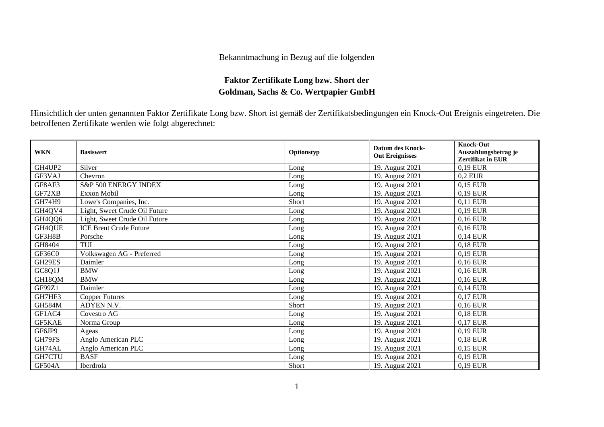## Bekanntmachung in Bezug auf die folgenden

## **Faktor Zertifikate Long bzw. Short der Goldman, Sachs & Co. Wertpapier GmbH**

Hinsichtlich der unten genannten Faktor Zertifikate Long bzw. Short ist gemäß der Zertifikatsbedingungen ein Knock-Out Ereignis eingetreten. Die betroffenen Zertifikate werden wie folgt abgerechnet:

| <b>WKN</b>    | <b>Basiswert</b>              | Optionstyp | <b>Datum des Knock-</b><br><b>Out Ereignisses</b> | <b>Knock-Out</b><br>Auszahlungsbetrag je<br>Zertifikat in EUR |
|---------------|-------------------------------|------------|---------------------------------------------------|---------------------------------------------------------------|
| GH4UP2        | Silver                        | Long       | 19. August 2021                                   | 0,19 EUR                                                      |
| GF3VAJ        | Chevron                       | Long       | 19. August 2021                                   | $0.2$ EUR                                                     |
| GF8AF3        | S&P 500 ENERGY INDEX          | Long       | 19. August 2021                                   | 0,15 EUR                                                      |
| GF72XB        | Exxon Mobil                   | Long       | 19. August 2021                                   | 0,19 EUR                                                      |
| <b>GH74H9</b> | Lowe's Companies, Inc.        | Short      | 19. August 2021                                   | 0,11 EUR                                                      |
| GH4QV4        | Light, Sweet Crude Oil Future | Long       | 19. August 2021                                   | 0,19 EUR                                                      |
| GH4QQ6        | Light, Sweet Crude Oil Future | Long       | 19. August 2021                                   | 0,16 EUR                                                      |
| GH4QUE        | <b>ICE Brent Crude Future</b> | Long       | 19. August 2021                                   | 0,16 EUR                                                      |
| GF3H8B        | Porsche                       | Long       | 19. August 2021                                   | 0,14 EUR                                                      |
| GH8404        | TUI                           | Long       | 19. August 2021                                   | 0,18 EUR                                                      |
| GF36C0        | Volkswagen AG - Preferred     | Long       | 19. August 2021                                   | 0,19 EUR                                                      |
| GH29ES        | Daimler                       | Long       | 19. August 2021                                   | 0,16 EUR                                                      |
| GC8Q1J        | <b>BMW</b>                    | Long       | 19. August 2021                                   | 0,16 EUR                                                      |
| GH18QM        | <b>BMW</b>                    | Long       | 19. August 2021                                   | 0,16 EUR                                                      |
| GF99Z1        | Daimler                       | Long       | 19. August 2021                                   | 0,14 EUR                                                      |
| GH7HF3        | <b>Copper Futures</b>         | Long       | 19. August 2021                                   | 0,17 EUR                                                      |
| <b>GH584M</b> | ADYEN N.V.                    | Short      | 19. August 2021                                   | 0,16 EUR                                                      |
| GF1AC4        | Covestro AG                   | Long       | 19. August 2021                                   | 0,18 EUR                                                      |
| GF5KAE        | Norma Group                   | Long       | 19. August 2021                                   | 0,17 EUR                                                      |
| GF6JP9        | Ageas                         | Long       | 19. August 2021                                   | 0,19 EUR                                                      |
| GH79FS        | Anglo American PLC            | Long       | 19. August 2021                                   | 0,18 EUR                                                      |
| GH74AL        | Anglo American PLC            | Long       | 19. August 2021                                   | 0,15 EUR                                                      |
| GH7CTU        | <b>BASF</b>                   | Long       | 19. August 2021                                   | 0,19 EUR                                                      |
| GF504A        | Iberdrola                     | Short      | 19. August 2021                                   | 0,19 EUR                                                      |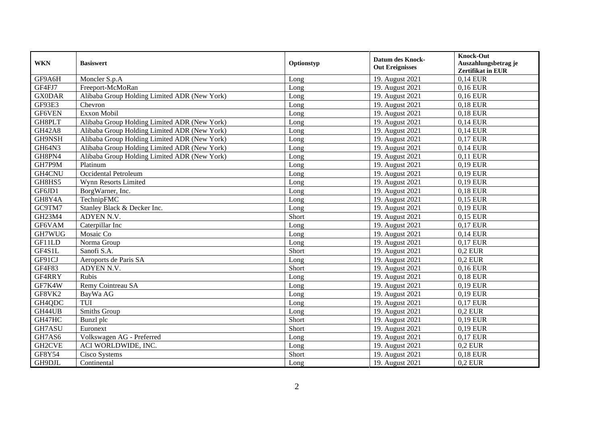| <b>WKN</b>    | <b>Basiswert</b>                             | Optionstyp | <b>Datum des Knock-</b><br><b>Out Ereignisses</b> | <b>Knock-Out</b><br>Auszahlungsbetrag je<br>Zertifikat in EUR |
|---------------|----------------------------------------------|------------|---------------------------------------------------|---------------------------------------------------------------|
| GF9A6H        | Moncler S.p.A                                | Long       | 19. August 2021                                   | 0,14 EUR                                                      |
| GF4FJ7        | Freeport-McMoRan                             | Long       | 19. August 2021                                   | 0,16 EUR                                                      |
| <b>GX0DAR</b> | Alibaba Group Holding Limited ADR (New York) | Long       | 19. August 2021                                   | 0,16 EUR                                                      |
| GF93E3        | Chevron                                      | Long       | 19. August 2021                                   | 0,18 EUR                                                      |
| GF6VEN        | Exxon Mobil                                  | Long       | 19. August 2021                                   | 0,18 EUR                                                      |
| GH8PLT        | Alibaba Group Holding Limited ADR (New York) | Long       | 19. August 2021                                   | 0,14 EUR                                                      |
| <b>GH42A8</b> | Alibaba Group Holding Limited ADR (New York) | Long       | 19. August 2021                                   | 0,14 EUR                                                      |
| GH9NSH        | Alibaba Group Holding Limited ADR (New York) | Long       | 19. August 2021                                   | 0,17 EUR                                                      |
| GH64N3        | Alibaba Group Holding Limited ADR (New York) | Long       | 19. August 2021                                   | 0,14 EUR                                                      |
| GH8PN4        | Alibaba Group Holding Limited ADR (New York) | Long       | 19. August 2021                                   | 0,11 EUR                                                      |
| GH7P9M        | Platinum                                     | Long       | 19. August 2021                                   | 0,19 EUR                                                      |
| GH4CNU        | Occidental Petroleum                         | Long       | 19. August 2021                                   | 0,19 EUR                                                      |
| GH8HS5        | Wynn Resorts Limited                         | Long       | 19. August 2021                                   | 0,19 EUR                                                      |
| GF6JD1        | BorgWarner, Inc.                             | Long       | 19. August 2021                                   | 0,18 EUR                                                      |
| GH8Y4A        | TechnipFMC                                   | Long       | 19. August 2021                                   | 0.15 EUR                                                      |
| GC9TM7        | Stanley Black & Decker Inc.                  | Long       | 19. August 2021                                   | 0,19 EUR                                                      |
| GH23M4        | ADYEN N.V.                                   | Short      | 19. August 2021                                   | 0,15 EUR                                                      |
| GF6VAM        | Caterpillar Inc                              | Long       | 19. August 2021                                   | 0,17 EUR                                                      |
| GH7WUG        | Mosaic Co                                    | Long       | 19. August 2021                                   | 0,14 EUR                                                      |
| GF11LD        | Norma Group                                  | Long       | 19. August 2021                                   | 0,17 EUR                                                      |
| GF4S1L        | Sanofi S.A.                                  | Short      | 19. August 2021                                   | $0.2$ EUR                                                     |
| GF91CJ        | Aeroports de Paris SA                        | Long       | 19. August 2021                                   | $0.2$ EUR                                                     |
| GF4F83        | ADYEN N.V.                                   | Short      | 19. August 2021                                   | 0,16 EUR                                                      |
| GF4RRY        | Rubis                                        | Long       | 19. August 2021                                   | 0,18 EUR                                                      |
| GF7K4W        | Remy Cointreau SA                            | Long       | 19. August 2021                                   | 0,19 EUR                                                      |
| GF8VK2        | BayWa AG                                     | Long       | 19. August 2021                                   | 0,19 EUR                                                      |
| GH4QDC        | <b>TUI</b>                                   | Long       | 19. August 2021                                   | 0,17 EUR                                                      |
| GH44UB        | Smiths Group                                 | Long       | 19. August 2021                                   | $0.2$ EUR                                                     |
| GH47HC        | Bunzl plc                                    | Short      | 19. August 2021                                   | 0,19 EUR                                                      |
| GH7ASU        | Euronext                                     | Short      | 19. August 2021                                   | 0,19 EUR                                                      |
| GH7AS6        | Volkswagen AG - Preferred                    | Long       | 19. August 2021                                   | 0,17 EUR                                                      |
| GH2CVE        | ACI WORLDWIDE, INC.                          | Long       | 19. August 2021                                   | $0.2$ EUR                                                     |
| GF8Y54        | Cisco Systems                                | Short      | 19. August 2021                                   | 0.18 EUR                                                      |
| GH9DJL        | Continental                                  | Long       | 19. August 2021                                   | $0.2$ EUR                                                     |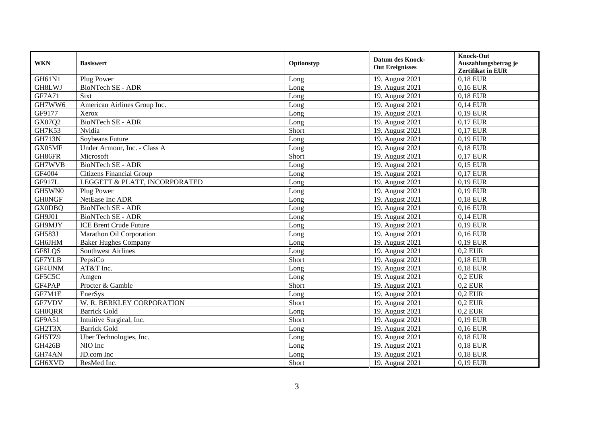| <b>WKN</b>    | <b>Basiswert</b>                | Optionstyp | <b>Datum des Knock-</b><br><b>Out Ereignisses</b> | <b>Knock-Out</b><br>Auszahlungsbetrag je<br>Zertifikat in EUR |
|---------------|---------------------------------|------------|---------------------------------------------------|---------------------------------------------------------------|
| GH61N1        | Plug Power                      | Long       | 19. August 2021                                   | 0,18 EUR                                                      |
| GH8LWJ        | BioNTech SE - ADR               | Long       | 19. August 2021                                   | 0,16 EUR                                                      |
| GF7A71        | Sixt                            | Long       | 19. August 2021                                   | 0,18 EUR                                                      |
| GH7WW6        | American Airlines Group Inc.    | Long       | 19. August 2021                                   | $0,14$ EUR                                                    |
| GF9177        | Xerox                           | Long       | 19. August 2021                                   | 0,19 EUR                                                      |
| GX07Q2        | <b>BioNTech SE - ADR</b>        | Long       | 19. August 2021                                   | 0,17 EUR                                                      |
| GH7K53        | Nvidia                          | Short      | 19. August 2021                                   | 0,17 EUR                                                      |
| <b>GH713N</b> | Soybeans Future                 | Long       | 19. August 2021                                   | 0,19 EUR                                                      |
| GX05MF        | Under Armour, Inc. - Class A    | Long       | 19. August 2021                                   | 0,18 EUR                                                      |
| GH86FR        | Microsoft                       | Short      | 19. August 2021                                   | 0,17 EUR                                                      |
| GH7WVB        | <b>BioNTech SE - ADR</b>        | Long       | 19. August 2021                                   | 0,15 EUR                                                      |
| GF4004        | <b>Citizens Financial Group</b> | Long       | 19. August 2021                                   | 0,17 EUR                                                      |
| GF917L        | LEGGETT & PLATT, INCORPORATED   | Long       | 19. August 2021                                   | 0,19 EUR                                                      |
| GH5WN0        | Plug Power                      | Long       | 19. August 2021                                   | 0,19 EUR                                                      |
| <b>GHONGF</b> | NetEase Inc ADR                 | Long       | 19. August 2021                                   | 0,18 EUR                                                      |
| <b>GX0DBQ</b> | BioNTech SE - ADR               | Long       | 19. August 2021                                   | 0,16 EUR                                                      |
| GH9J01        | <b>BioNTech SE - ADR</b>        | Long       | 19. August 2021                                   | 0,14 EUR                                                      |
| GH9MJY        | <b>ICE Brent Crude Future</b>   | Long       | 19. August 2021                                   | 0,19 EUR                                                      |
| <b>GH583J</b> | Marathon Oil Corporation        | Long       | 19. August 2021                                   | 0,16 EUR                                                      |
| <b>GH6JHM</b> | <b>Baker Hughes Company</b>     | Long       | 19. August 2021                                   | 0,19 EUR                                                      |
| GF8LQS        | <b>Southwest Airlines</b>       | Long       | 19. August 2021                                   | $0.2$ EUR                                                     |
| <b>GF7YLB</b> | PepsiCo                         | Short      | 19. August 2021                                   | 0,18 EUR                                                      |
| GF4UNM        | AT&T Inc.                       | Long       | 19. August 2021                                   | 0,18 EUR                                                      |
| GF5C5C        | Amgen                           | Long       | 19. August 2021                                   | $0,2$ EUR                                                     |
| GF4PAP        | Procter & Gamble                | Short      | 19. August 2021                                   | $0,2$ EUR                                                     |
| GF7M1E        | EnerSys                         | Long       | 19. August 2021                                   | $0,2$ EUR                                                     |
| GF7VDV        | W. R. BERKLEY CORPORATION       | Short      | 19. August 2021                                   | $0,2$ EUR                                                     |
| <b>GH0QRR</b> | <b>Barrick Gold</b>             | Long       | 19. August 2021                                   | $0.2$ EUR                                                     |
| GF9A51        | Intuitive Surgical, Inc.        | Short      | 19. August 2021                                   | 0,19 EUR                                                      |
| GH2T3X        | <b>Barrick Gold</b>             | Long       | 19. August 2021                                   | 0,16 EUR                                                      |
| GH5TZ9        | Uber Technologies, Inc.         | Long       | 19. August 2021                                   | 0,18 EUR                                                      |
| <b>GH426B</b> | NIO Inc                         | Long       | 19. August 2021                                   | 0,18 EUR                                                      |
| GH74AN        | JD.com Inc                      | Long       | 19. August 2021                                   | 0,18 EUR                                                      |
| GH6XVD        | ResMed Inc.                     | Short      | 19. August 2021                                   | 0,19 EUR                                                      |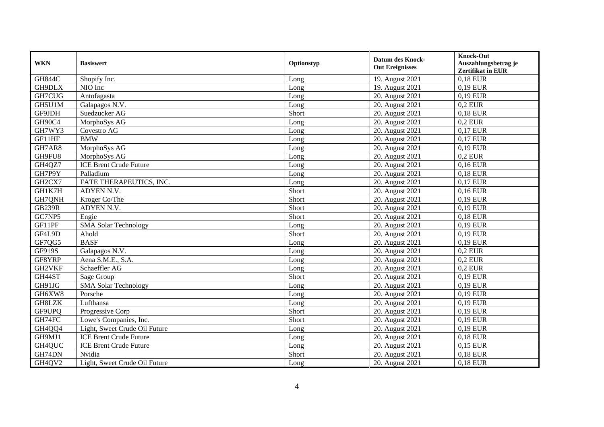| <b>WKN</b>    | <b>Basiswert</b>              | Optionstyp | <b>Datum des Knock-</b><br><b>Out Ereignisses</b> | <b>Knock-Out</b><br>Auszahlungsbetrag je<br>Zertifikat in EUR |
|---------------|-------------------------------|------------|---------------------------------------------------|---------------------------------------------------------------|
| <b>GH844C</b> | Shopify Inc.                  | Long       | 19. August 2021                                   | 0,18 EUR                                                      |
| GH9DLX        | NIO Inc                       | Long       | 19. August 2021                                   | 0,19 EUR                                                      |
| GH7CUG        | Antofagasta                   | Long       | 20. August 2021                                   | 0,19 EUR                                                      |
| GH5U1M        | Galapagos N.V.                | Long       | 20. August 2021                                   | $0.2$ EUR                                                     |
| GF9JDH        | Suedzucker AG                 | Short      | 20. August 2021                                   | 0,18 EUR                                                      |
| GH90C4        | MorphoSys AG                  | Long       | 20. August 2021                                   | $0.2$ EUR                                                     |
| GH7WY3        | Covestro AG                   | Long       | 20. August 2021                                   | 0,17 EUR                                                      |
| GF11HF        | <b>BMW</b>                    | Long       | 20. August 2021                                   | 0,17 EUR                                                      |
| GH7AR8        | MorphoSys AG                  | Long       | 20. August 2021                                   | 0,19 EUR                                                      |
| GH9FU8        | MorphoSys AG                  | Long       | 20. August 2021                                   | $0.2$ EUR                                                     |
| GH4QZ7        | <b>ICE Brent Crude Future</b> | Long       | 20. August 2021                                   | 0,16 EUR                                                      |
| GH7P9Y        | Palladium                     | Long       | 20. August 2021                                   | 0.18 EUR                                                      |
| GH2CX7        | FATE THERAPEUTICS, INC.       | Long       | 20. August 2021                                   | 0,17 EUR                                                      |
| GH1K7H        | ADYEN N.V.                    | Short      | 20. August 2021                                   | 0,16 EUR                                                      |
| GH7QNH        | Kroger Co/The                 | Short      | 20. August 2021                                   | 0,19 EUR                                                      |
| <b>GB239R</b> | ADYEN N.V.                    | Short      | 20. August 2021                                   | 0,19 EUR                                                      |
| GC7NP5        | Engie                         | Short      | 20. August 2021                                   | 0,18 EUR                                                      |
| GF11PF        | <b>SMA Solar Technology</b>   | Long       | 20. August 2021                                   | 0,19 EUR                                                      |
| GF4L9D        | Ahold                         | Short      | 20. August 2021                                   | 0,19 EUR                                                      |
| GF7QG5        | <b>BASF</b>                   | Long       | 20. August 2021                                   | 0,19 EUR                                                      |
| GF919S        | Galapagos N.V.                | Long       | 20. August 2021                                   | $0.2$ EUR                                                     |
| GF8YRP        | Aena S.M.E., S.A.             | Long       | 20. August 2021                                   | $0.2$ EUR                                                     |
| GH2VKF        | Schaeffler AG                 | Long       | 20. August 2021                                   | $0.2$ EUR                                                     |
| GH44ST        | Sage Group                    | Short      | 20. August 2021                                   | 0,19 EUR                                                      |
| GH91JG        | <b>SMA Solar Technology</b>   | Long       | 20. August 2021                                   | 0,19 EUR                                                      |
| GH6XW8        | Porsche                       | Long       | 20. August 2021                                   | 0,19 EUR                                                      |
| <b>GH8LZK</b> | Lufthansa                     | Long       | 20. August 2021                                   | 0,19 EUR                                                      |
| GF9UPQ        | Progressive Corp              | Short      | 20. August 2021                                   | 0,19 EUR                                                      |
| GH74FC        | Lowe's Companies, Inc.        | Short      | 20. August 2021                                   | 0,19 EUR                                                      |
| GH4QQ4        | Light, Sweet Crude Oil Future | Long       | 20. August 2021                                   | 0,19 EUR                                                      |
| GH9MJ1        | <b>ICE Brent Crude Future</b> | Long       | 20. August 2021                                   | 0,18 EUR                                                      |
| GH4QUC        | <b>ICE Brent Crude Future</b> | Long       | 20. August 2021                                   | 0,15 EUR                                                      |
| GH74DN        | Nvidia                        | Short      | 20. August 2021                                   | 0,18 EUR                                                      |
| GH4QV2        | Light, Sweet Crude Oil Future | Long       | 20. August 2021                                   | 0,18 EUR                                                      |